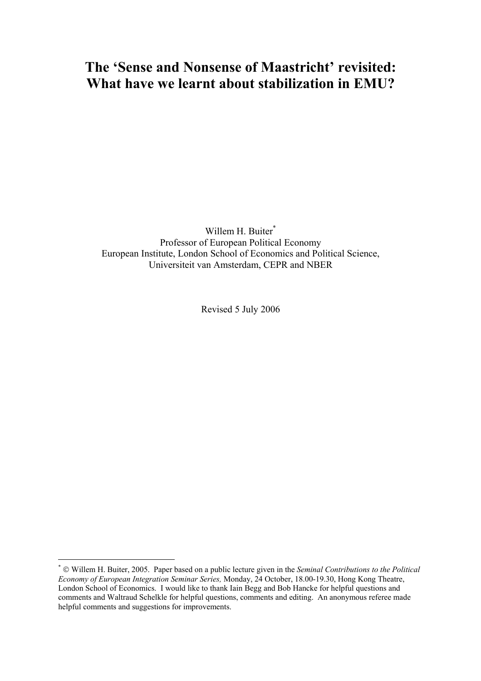# **The 'Sense and Nonsense of Maastricht' revisited: What have we learnt about stabilization in EMU?**

Willem H. Buiter\* Professor of European Political Economy European Institute, London School of Economics and Political Science, Universiteit van Amsterdam, CEPR and NBER

Revised 5 July 2006

<sup>\*</sup> © Willem H. Buiter, 2005. Paper based on a public lecture given in the *Seminal Contributions to the Political Economy of European Integration Seminar Series,* Monday, 24 October, 18.00-19.30, Hong Kong Theatre, London School of Economics. I would like to thank Iain Begg and Bob Hancke for helpful questions and comments and Waltraud Schelkle for helpful questions, comments and editing. An anonymous referee made helpful comments and suggestions for improvements.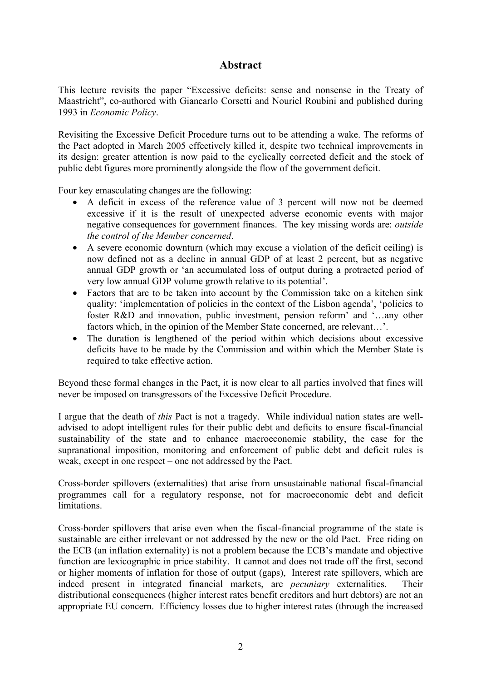## **Abstract**

This lecture revisits the paper "Excessive deficits: sense and nonsense in the Treaty of Maastricht", co-authored with Giancarlo Corsetti and Nouriel Roubini and published during 1993 in *Economic Policy*.

Revisiting the Excessive Deficit Procedure turns out to be attending a wake. The reforms of the Pact adopted in March 2005 effectively killed it, despite two technical improvements in its design: greater attention is now paid to the cyclically corrected deficit and the stock of public debt figures more prominently alongside the flow of the government deficit.

Four key emasculating changes are the following:

- A deficit in excess of the reference value of 3 percent will now not be deemed excessive if it is the result of unexpected adverse economic events with major negative consequences for government finances. The key missing words are: *outside the control of the Member concerned*.
- A severe economic downturn (which may excuse a violation of the deficit ceiling) is now defined not as a decline in annual GDP of at least 2 percent, but as negative annual GDP growth or 'an accumulated loss of output during a protracted period of very low annual GDP volume growth relative to its potential'.
- Factors that are to be taken into account by the Commission take on a kitchen sink quality: 'implementation of policies in the context of the Lisbon agenda', 'policies to foster R&D and innovation, public investment, pension reform' and '…any other factors which, in the opinion of the Member State concerned, are relevant…'.
- The duration is lengthened of the period within which decisions about excessive deficits have to be made by the Commission and within which the Member State is required to take effective action.

Beyond these formal changes in the Pact, it is now clear to all parties involved that fines will never be imposed on transgressors of the Excessive Deficit Procedure.

I argue that the death of *this* Pact is not a tragedy. While individual nation states are welladvised to adopt intelligent rules for their public debt and deficits to ensure fiscal-financial sustainability of the state and to enhance macroeconomic stability, the case for the supranational imposition, monitoring and enforcement of public debt and deficit rules is weak, except in one respect – one not addressed by the Pact.

Cross-border spillovers (externalities) that arise from unsustainable national fiscal-financial programmes call for a regulatory response, not for macroeconomic debt and deficit limitations.

Cross-border spillovers that arise even when the fiscal-financial programme of the state is sustainable are either irrelevant or not addressed by the new or the old Pact. Free riding on the ECB (an inflation externality) is not a problem because the ECB's mandate and objective function are lexicographic in price stability. It cannot and does not trade off the first, second or higher moments of inflation for those of output (gaps), Interest rate spillovers, which are indeed present in integrated financial markets, are *pecuniary* externalities. Their distributional consequences (higher interest rates benefit creditors and hurt debtors) are not an appropriate EU concern. Efficiency losses due to higher interest rates (through the increased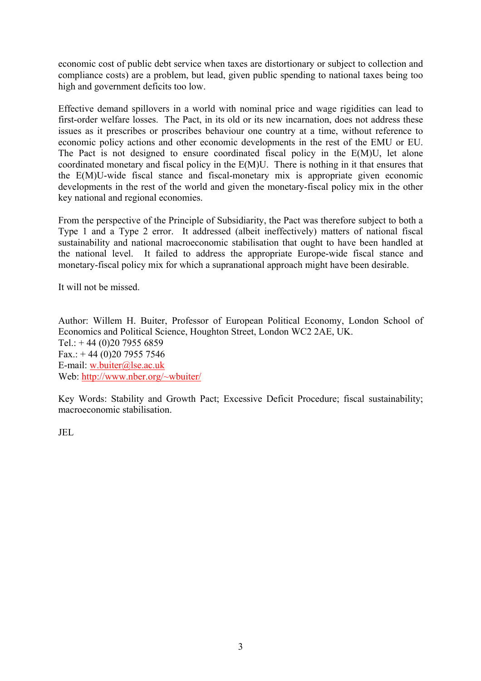economic cost of public debt service when taxes are distortionary or subject to collection and compliance costs) are a problem, but lead, given public spending to national taxes being too high and government deficits too low.

Effective demand spillovers in a world with nominal price and wage rigidities can lead to first-order welfare losses. The Pact, in its old or its new incarnation, does not address these issues as it prescribes or proscribes behaviour one country at a time, without reference to economic policy actions and other economic developments in the rest of the EMU or EU. The Pact is not designed to ensure coordinated fiscal policy in the E(M)U, let alone coordinated monetary and fiscal policy in the E(M)U. There is nothing in it that ensures that the E(M)U-wide fiscal stance and fiscal-monetary mix is appropriate given economic developments in the rest of the world and given the monetary-fiscal policy mix in the other key national and regional economies.

From the perspective of the Principle of Subsidiarity, the Pact was therefore subject to both a Type 1 and a Type 2 error. It addressed (albeit ineffectively) matters of national fiscal sustainability and national macroeconomic stabilisation that ought to have been handled at the national level. It failed to address the appropriate Europe-wide fiscal stance and monetary-fiscal policy mix for which a supranational approach might have been desirable.

It will not be missed.

Author: Willem H. Buiter, Professor of European Political Economy, London School of Economics and Political Science, Houghton Street, London WC2 2AE, UK. Tel.:  $+ 44 (0)20 7955 6859$ Fax.:  $+ 44 (0)20 7955 7546$ E-mail: w.buiter@lse.ac.uk Web: http://www.nber.org/~wbuiter/

Key Words: Stability and Growth Pact; Excessive Deficit Procedure; fiscal sustainability; macroeconomic stabilisation.

JEL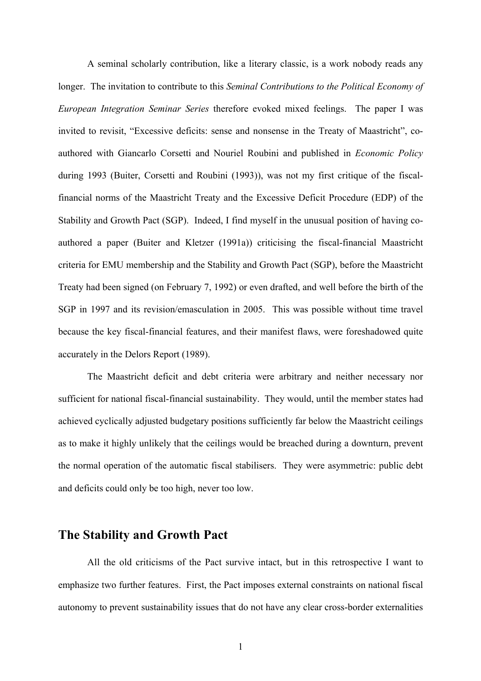A seminal scholarly contribution, like a literary classic, is a work nobody reads any longer. The invitation to contribute to this *Seminal Contributions to the Political Economy of European Integration Seminar Series* therefore evoked mixed feelings. The paper I was invited to revisit, "Excessive deficits: sense and nonsense in the Treaty of Maastricht", coauthored with Giancarlo Corsetti and Nouriel Roubini and published in *Economic Policy*  during 1993 (Buiter, Corsetti and Roubini (1993)), was not my first critique of the fiscalfinancial norms of the Maastricht Treaty and the Excessive Deficit Procedure (EDP) of the Stability and Growth Pact (SGP). Indeed, I find myself in the unusual position of having coauthored a paper (Buiter and Kletzer (1991a)) criticising the fiscal-financial Maastricht criteria for EMU membership and the Stability and Growth Pact (SGP), before the Maastricht Treaty had been signed (on February 7, 1992) or even drafted, and well before the birth of the SGP in 1997 and its revision/emasculation in 2005. This was possible without time travel because the key fiscal-financial features, and their manifest flaws, were foreshadowed quite accurately in the Delors Report (1989).

The Maastricht deficit and debt criteria were arbitrary and neither necessary nor sufficient for national fiscal-financial sustainability. They would, until the member states had achieved cyclically adjusted budgetary positions sufficiently far below the Maastricht ceilings as to make it highly unlikely that the ceilings would be breached during a downturn, prevent the normal operation of the automatic fiscal stabilisers. They were asymmetric: public debt and deficits could only be too high, never too low.

## **The Stability and Growth Pact**

All the old criticisms of the Pact survive intact, but in this retrospective I want to emphasize two further features. First, the Pact imposes external constraints on national fiscal autonomy to prevent sustainability issues that do not have any clear cross-border externalities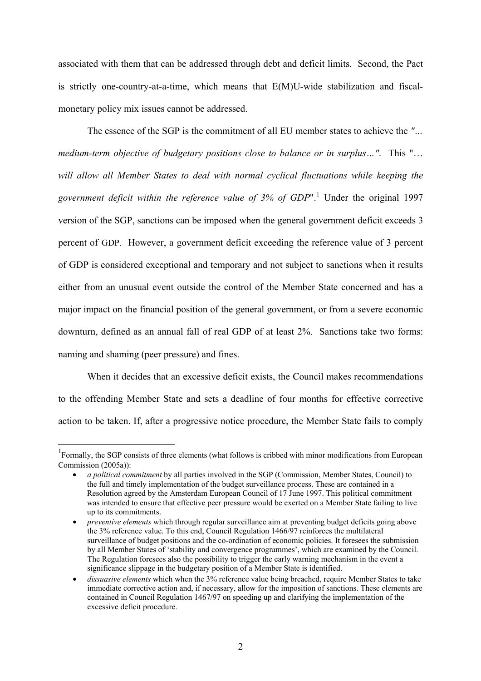associated with them that can be addressed through debt and deficit limits. Second, the Pact is strictly one-country-at-a-time, which means that E(M)U-wide stabilization and fiscalmonetary policy mix issues cannot be addressed.

The essence of the SGP is the commitment of all EU member states to achieve the *"… medium-term objective of budgetary positions close to balance or in surplus…"*. This "… will allow all Member States to deal with normal cyclical fluctuations while keeping the government deficit within the reference value of 3% of GDP".<sup>1</sup> Under the original 1997 version of the SGP, sanctions can be imposed when the general government deficit exceeds 3 percent of GDP. However, a government deficit exceeding the reference value of 3 percent of GDP is considered exceptional and temporary and not subject to sanctions when it results either from an unusual event outside the control of the Member State concerned and has a major impact on the financial position of the general government, or from a severe economic downturn, defined as an annual fall of real GDP of at least 2%. Sanctions take two forms: naming and shaming (peer pressure) and fines.

When it decides that an excessive deficit exists, the Council makes recommendations to the offending Member State and sets a deadline of four months for effective corrective action to be taken. If, after a progressive notice procedure, the Member State fails to comply

<sup>&</sup>lt;sup>1</sup> Formally, the SGP consists of three elements (what follows is cribbed with minor modifications from European Commission (2005a)):

<sup>•</sup> *a political commitment* by all parties involved in the SGP (Commission, Member States, Council) to the full and timely implementation of the budget surveillance process. These are contained in a Resolution agreed by the Amsterdam European Council of 17 June 1997. This political commitment was intended to ensure that effective peer pressure would be exerted on a Member State failing to live up to its commitments.

<sup>•</sup> *preventive elements* which through regular surveillance aim at preventing budget deficits going above the 3% reference value. To this end, Council Regulation 1466/97 reinforces the multilateral surveillance of budget positions and the co-ordination of economic policies. It foresees the submission by all Member States of 'stability and convergence programmes', which are examined by the Council. The Regulation foresees also the possibility to trigger the early warning mechanism in the event a significance slippage in the budgetary position of a Member State is identified.

<sup>•</sup> *dissuasive elements* which when the 3% reference value being breached, require Member States to take immediate corrective action and, if necessary, allow for the imposition of sanctions. These elements are contained in Council Regulation 1467/97 on speeding up and clarifying the implementation of the excessive deficit procedure.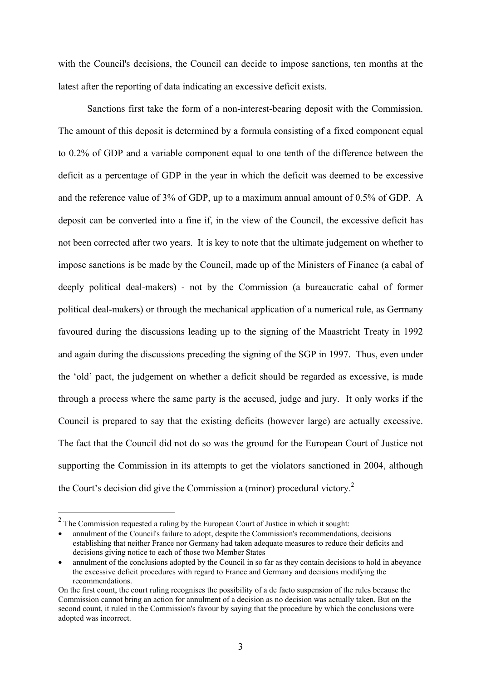with the Council's decisions, the Council can decide to impose sanctions, ten months at the latest after the reporting of data indicating an excessive deficit exists.

Sanctions first take the form of a non-interest-bearing deposit with the Commission. The amount of this deposit is determined by a formula consisting of a fixed component equal to 0.2% of GDP and a variable component equal to one tenth of the difference between the deficit as a percentage of GDP in the year in which the deficit was deemed to be excessive and the reference value of 3% of GDP, up to a maximum annual amount of 0.5% of GDP. A deposit can be converted into a fine if, in the view of the Council, the excessive deficit has not been corrected after two years. It is key to note that the ultimate judgement on whether to impose sanctions is be made by the Council, made up of the Ministers of Finance (a cabal of deeply political deal-makers) - not by the Commission (a bureaucratic cabal of former political deal-makers) or through the mechanical application of a numerical rule, as Germany favoured during the discussions leading up to the signing of the Maastricht Treaty in 1992 and again during the discussions preceding the signing of the SGP in 1997. Thus, even under the 'old' pact, the judgement on whether a deficit should be regarded as excessive, is made through a process where the same party is the accused, judge and jury. It only works if the Council is prepared to say that the existing deficits (however large) are actually excessive. The fact that the Council did not do so was the ground for the European Court of Justice not supporting the Commission in its attempts to get the violators sanctioned in 2004, although the Court's decision did give the Commission a (minor) procedural victory.<sup>2</sup>

<sup>&</sup>lt;sup>2</sup> The Commission requested a ruling by the European Court of Justice in which it sought:

<sup>•</sup> annulment of the Council's failure to adopt, despite the Commission's recommendations, decisions establishing that neither France nor Germany had taken adequate measures to reduce their deficits and decisions giving notice to each of those two Member States

<sup>•</sup> annulment of the conclusions adopted by the Council in so far as they contain decisions to hold in abeyance the excessive deficit procedures with regard to France and Germany and decisions modifying the recommendations.

On the first count, the court ruling recognises the possibility of a de facto suspension of the rules because the Commission cannot bring an action for annulment of a decision as no decision was actually taken. But on the second count, it ruled in the Commission's favour by saying that the procedure by which the conclusions were adopted was incorrect.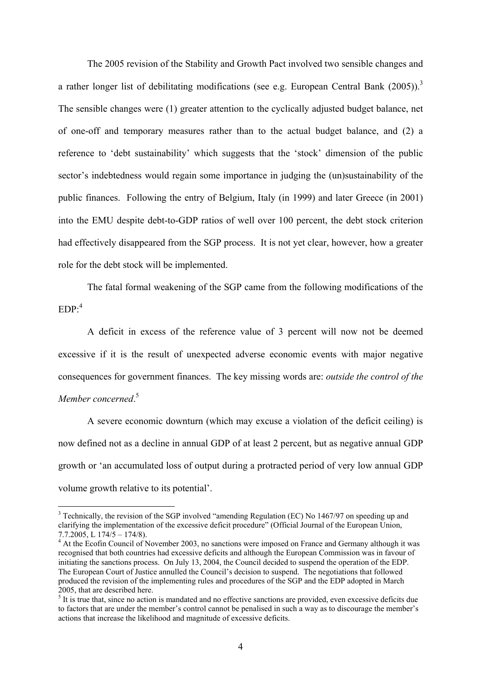The 2005 revision of the Stability and Growth Pact involved two sensible changes and a rather longer list of debilitating modifications (see e.g. European Central Bank  $(2005)$ ).<sup>3</sup> The sensible changes were (1) greater attention to the cyclically adjusted budget balance, net of one-off and temporary measures rather than to the actual budget balance, and (2) a reference to 'debt sustainability' which suggests that the 'stock' dimension of the public sector's indebtedness would regain some importance in judging the (un)sustainability of the public finances. Following the entry of Belgium, Italy (in 1999) and later Greece (in 2001) into the EMU despite debt-to-GDP ratios of well over 100 percent, the debt stock criterion had effectively disappeared from the SGP process. It is not yet clear, however, how a greater role for the debt stock will be implemented.

The fatal formal weakening of the SGP came from the following modifications of the  $EDP<sup>.4</sup>$ 

A deficit in excess of the reference value of 3 percent will now not be deemed excessive if it is the result of unexpected adverse economic events with major negative consequences for government finances. The key missing words are: *outside the control of the Member concerned*. 5

A severe economic downturn (which may excuse a violation of the deficit ceiling) is now defined not as a decline in annual GDP of at least 2 percent, but as negative annual GDP growth or 'an accumulated loss of output during a protracted period of very low annual GDP volume growth relative to its potential'.

 $3$  Technically, the revision of the SGP involved "amending Regulation (EC) No 1467/97 on speeding up and clarifying the implementation of the excessive deficit procedure" (Official Journal of the European Union, 7.7.2005, L 174/5 – 174/8).

<sup>&</sup>lt;sup>4</sup> At the Ecofin Council of November 2003, no sanctions were imposed on France and Germany although it was recognised that both countries had excessive deficits and although the European Commission was in favour of initiating the sanctions process. On July 13, 2004, the Council decided to suspend the operation of the EDP. The European Court of Justice annulled the Council's decision to suspend. The negotiations that followed produced the revision of the implementing rules and procedures of the SGP and the EDP adopted in March 2005, that are described here.

 $<sup>5</sup>$  It is true that, since no action is mandated and no effective sanctions are provided, even excessive deficits due</sup> to factors that are under the member's control cannot be penalised in such a way as to discourage the member's actions that increase the likelihood and magnitude of excessive deficits.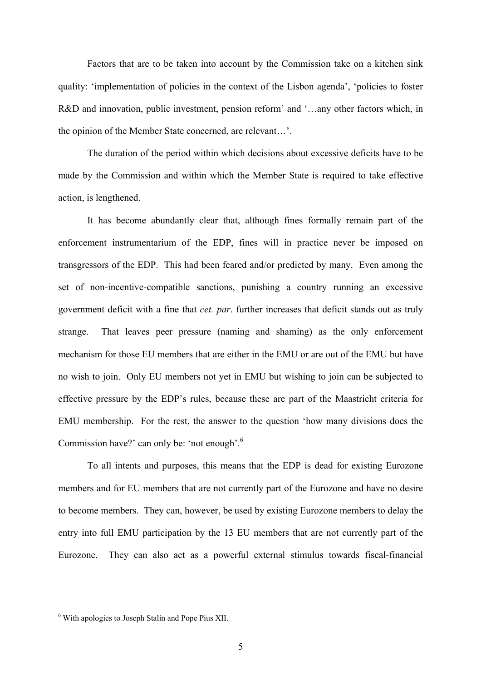Factors that are to be taken into account by the Commission take on a kitchen sink quality: 'implementation of policies in the context of the Lisbon agenda', 'policies to foster R&D and innovation, public investment, pension reform' and '...any other factors which, in the opinion of the Member State concerned, are relevant…'.

The duration of the period within which decisions about excessive deficits have to be made by the Commission and within which the Member State is required to take effective action, is lengthened.

It has become abundantly clear that, although fines formally remain part of the enforcement instrumentarium of the EDP, fines will in practice never be imposed on transgressors of the EDP. This had been feared and/or predicted by many. Even among the set of non-incentive-compatible sanctions, punishing a country running an excessive government deficit with a fine that *cet. par*. further increases that deficit stands out as truly strange. That leaves peer pressure (naming and shaming) as the only enforcement mechanism for those EU members that are either in the EMU or are out of the EMU but have no wish to join. Only EU members not yet in EMU but wishing to join can be subjected to effective pressure by the EDP's rules, because these are part of the Maastricht criteria for EMU membership. For the rest, the answer to the question 'how many divisions does the Commission have?' can only be: 'not enough'.<sup>6</sup>

 To all intents and purposes, this means that the EDP is dead for existing Eurozone members and for EU members that are not currently part of the Eurozone and have no desire to become members. They can, however, be used by existing Eurozone members to delay the entry into full EMU participation by the 13 EU members that are not currently part of the Eurozone. They can also act as a powerful external stimulus towards fiscal-financial

<sup>6</sup> With apologies to Joseph Stalin and Pope Pius XII.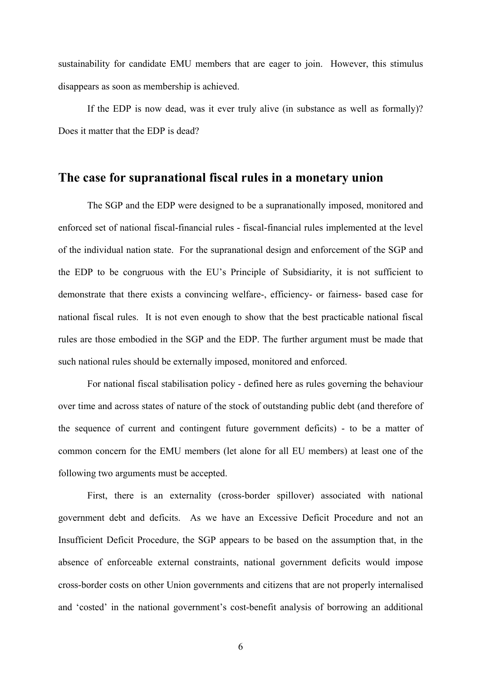sustainability for candidate EMU members that are eager to join. However, this stimulus disappears as soon as membership is achieved.

If the EDP is now dead, was it ever truly alive (in substance as well as formally)? Does it matter that the EDP is dead?

## **The case for supranational fiscal rules in a monetary union**

The SGP and the EDP were designed to be a supranationally imposed, monitored and enforced set of national fiscal-financial rules - fiscal-financial rules implemented at the level of the individual nation state. For the supranational design and enforcement of the SGP and the EDP to be congruous with the EU's Principle of Subsidiarity, it is not sufficient to demonstrate that there exists a convincing welfare-, efficiency- or fairness- based case for national fiscal rules. It is not even enough to show that the best practicable national fiscal rules are those embodied in the SGP and the EDP. The further argument must be made that such national rules should be externally imposed, monitored and enforced.

For national fiscal stabilisation policy - defined here as rules governing the behaviour over time and across states of nature of the stock of outstanding public debt (and therefore of the sequence of current and contingent future government deficits) - to be a matter of common concern for the EMU members (let alone for all EU members) at least one of the following two arguments must be accepted.

First, there is an externality (cross-border spillover) associated with national government debt and deficits. As we have an Excessive Deficit Procedure and not an Insufficient Deficit Procedure, the SGP appears to be based on the assumption that, in the absence of enforceable external constraints, national government deficits would impose cross-border costs on other Union governments and citizens that are not properly internalised and 'costed' in the national government's cost-benefit analysis of borrowing an additional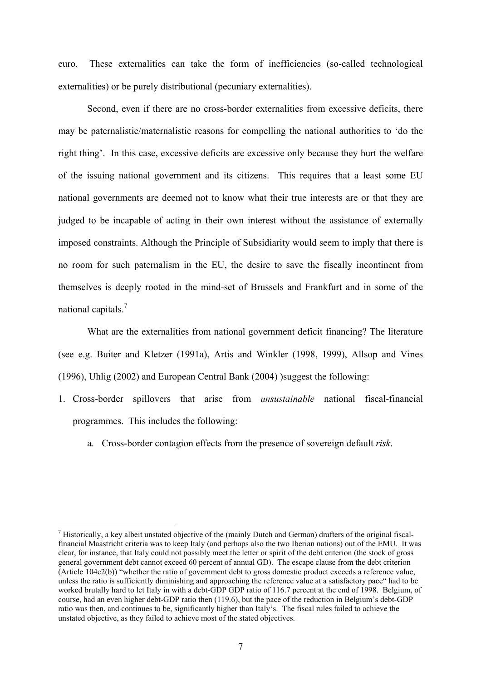euro. These externalities can take the form of inefficiencies (so-called technological externalities) or be purely distributional (pecuniary externalities).

Second, even if there are no cross-border externalities from excessive deficits, there may be paternalistic/maternalistic reasons for compelling the national authorities to 'do the right thing'. In this case, excessive deficits are excessive only because they hurt the welfare of the issuing national government and its citizens. This requires that a least some EU national governments are deemed not to know what their true interests are or that they are judged to be incapable of acting in their own interest without the assistance of externally imposed constraints. Although the Principle of Subsidiarity would seem to imply that there is no room for such paternalism in the EU, the desire to save the fiscally incontinent from themselves is deeply rooted in the mind-set of Brussels and Frankfurt and in some of the national capitals.<sup>7</sup>

What are the externalities from national government deficit financing? The literature (see e.g. Buiter and Kletzer (1991a), Artis and Winkler (1998, 1999), Allsop and Vines (1996), Uhlig (2002) and European Central Bank (2004) )suggest the following:

- 1. Cross-border spillovers that arise from *unsustainable* national fiscal-financial programmes. This includes the following:
	- a. Cross-border contagion effects from the presence of sovereign default *risk*.

<sup>&</sup>lt;sup>7</sup> Historically, a key albeit unstated objective of the (mainly Dutch and German) drafters of the original fiscalfinancial Maastricht criteria was to keep Italy (and perhaps also the two Iberian nations) out of the EMU. It was clear, for instance, that Italy could not possibly meet the letter or spirit of the debt criterion (the stock of gross general government debt cannot exceed 60 percent of annual GD). The escape clause from the debt criterion (Article 104c2(b)) "whether the ratio of government debt to gross domestic product exceeds a reference value, unless the ratio is sufficiently diminishing and approaching the reference value at a satisfactory pace" had to be worked brutally hard to let Italy in with a debt-GDP GDP ratio of 116.7 percent at the end of 1998. Belgium, of course, had an even higher debt-GDP ratio then (119.6), but the pace of the reduction in Belgium's debt-GDP ratio was then, and continues to be, significantly higher than Italy's. The fiscal rules failed to achieve the unstated objective, as they failed to achieve most of the stated objectives.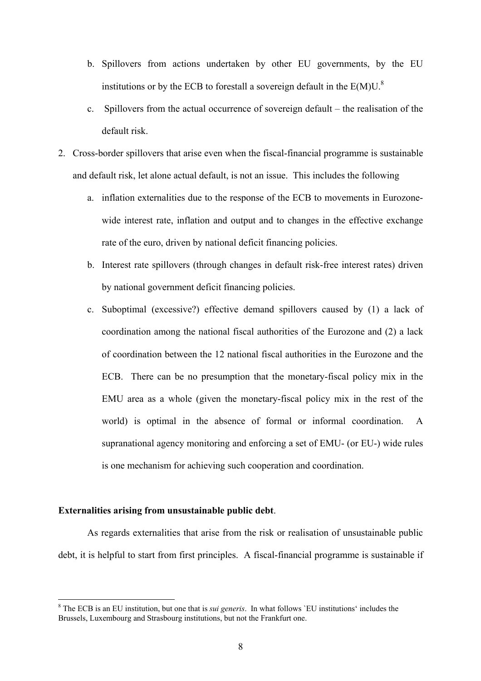- b. Spillovers from actions undertaken by other EU governments, by the EU institutions or by the ECB to forestall a sovereign default in the  $E(M)U^8$ .
- c. Spillovers from the actual occurrence of sovereign default the realisation of the default risk.
- 2. Cross-border spillovers that arise even when the fiscal-financial programme is sustainable and default risk, let alone actual default, is not an issue. This includes the following
	- a. inflation externalities due to the response of the ECB to movements in Eurozonewide interest rate, inflation and output and to changes in the effective exchange rate of the euro, driven by national deficit financing policies.
	- b. Interest rate spillovers (through changes in default risk-free interest rates) driven by national government deficit financing policies.
	- c. Suboptimal (excessive?) effective demand spillovers caused by (1) a lack of coordination among the national fiscal authorities of the Eurozone and (2) a lack of coordination between the 12 national fiscal authorities in the Eurozone and the ECB. There can be no presumption that the monetary-fiscal policy mix in the EMU area as a whole (given the monetary-fiscal policy mix in the rest of the world) is optimal in the absence of formal or informal coordination. A supranational agency monitoring and enforcing a set of EMU- (or EU-) wide rules is one mechanism for achieving such cooperation and coordination.

#### **Externalities arising from unsustainable public debt**.

 $\overline{a}$ 

As regards externalities that arise from the risk or realisation of unsustainable public debt, it is helpful to start from first principles. A fiscal-financial programme is sustainable if

<sup>8</sup> The ECB is an EU institution, but one that is *sui generis*. In what follows `EU institutions' includes the Brussels, Luxembourg and Strasbourg institutions, but not the Frankfurt one.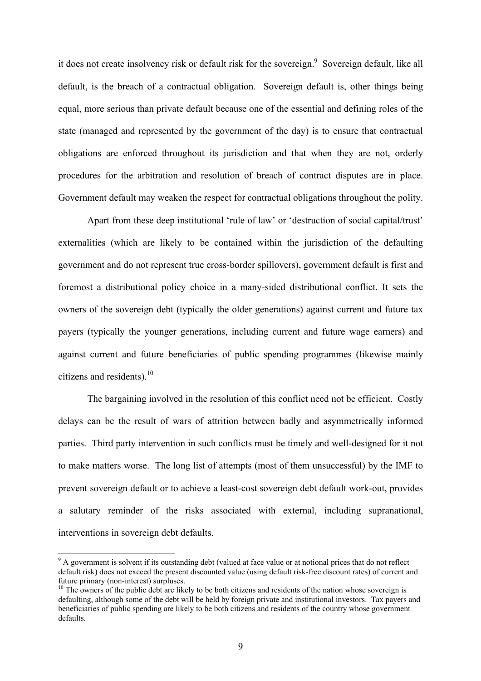it does not create insolvency risk or default risk for the sovereign. Sovereign default, like all default, is the breach of a contractual obligation. Sovereign default is, other things being equal, more serious than private default because one of the essential and defining roles of the state (managed and represented by the government of the day) is to ensure that contractual obligations are enforced throughout its jurisdiction and that when they are not, orderly procedures for the arbitration and resolution of breach of contract disputes are in place. Government default may weaken the respect for contractual obligations throughout the polity.

Apart from these deep institutional 'rule of law' or 'destruction of social capital/trust' externalities (which are likely to be contained within the jurisdiction of the defaulting government and do not represent true cross-border spillovers), government default is first and foremost a distributional policy choice in a many-sided distributional conflict. It sets the owners of the sovereign debt (typically the older generations) against current and future tax payers (typically the younger generations, including current and future wage earners) and against current and future beneficiaries of public spending programmes (likewise mainly citizens and residents). $^{10}$ 

The bargaining involved in the resolution of this conflict need not be efficient. Costly delays can be the result of wars of attrition between badly and asymmetrically informed parties. Third party intervention in such conflicts must be timely and well-designed for it not to make matters worse. The long list of attempts (most of them unsuccessful) by the IMF to prevent sovereign default or to achieve a least-cost sovereign debt default work-out, provides a salutary reminder of the risks associated with external, including supranational, interventions in sovereign debt defaults.

<sup>&</sup>lt;sup>9</sup> A government is solvent if its outstanding debt (valued at face value or at notional prices that do not reflect default risk) does not exceed the present discounted value (using default risk-free discount rates) of current and future primary (non-interest) surpluses.

<sup>&</sup>lt;sup>10</sup> The owners of the public debt are likely to be both citizens and residents of the nation whose sovereign is defaulting, although some of the debt will be held by foreign private and institutional investors. Tax payers and beneficiaries of public spending are likely to be both citizens and residents of the country whose government defaults.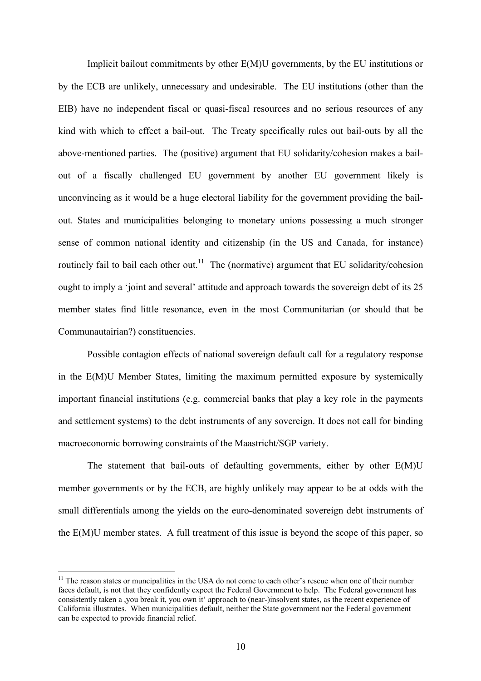Implicit bailout commitments by other E(M)U governments, by the EU institutions or by the ECB are unlikely, unnecessary and undesirable. The EU institutions (other than the EIB) have no independent fiscal or quasi-fiscal resources and no serious resources of any kind with which to effect a bail-out. The Treaty specifically rules out bail-outs by all the above-mentioned parties. The (positive) argument that EU solidarity/cohesion makes a bailout of a fiscally challenged EU government by another EU government likely is unconvincing as it would be a huge electoral liability for the government providing the bailout. States and municipalities belonging to monetary unions possessing a much stronger sense of common national identity and citizenship (in the US and Canada, for instance) routinely fail to bail each other out.<sup>11</sup> The (normative) argument that EU solidarity/cohesion ought to imply a 'joint and several' attitude and approach towards the sovereign debt of its 25 member states find little resonance, even in the most Communitarian (or should that be Communautairian?) constituencies.

Possible contagion effects of national sovereign default call for a regulatory response in the E(M)U Member States, limiting the maximum permitted exposure by systemically important financial institutions (e.g. commercial banks that play a key role in the payments and settlement systems) to the debt instruments of any sovereign. It does not call for binding macroeconomic borrowing constraints of the Maastricht/SGP variety.

The statement that bail-outs of defaulting governments, either by other E(M)U member governments or by the ECB, are highly unlikely may appear to be at odds with the small differentials among the yields on the euro-denominated sovereign debt instruments of the E(M)U member states. A full treatment of this issue is beyond the scope of this paper, so

<sup>&</sup>lt;sup>11</sup> The reason states or muncipalities in the USA do not come to each other's rescue when one of their number faces default, is not that they confidently expect the Federal Government to help. The Federal government has consistently taken a ,you break it, you own it' approach to (near-)insolvent states, as the recent experience of California illustrates. When municipalities default, neither the State government nor the Federal government can be expected to provide financial relief.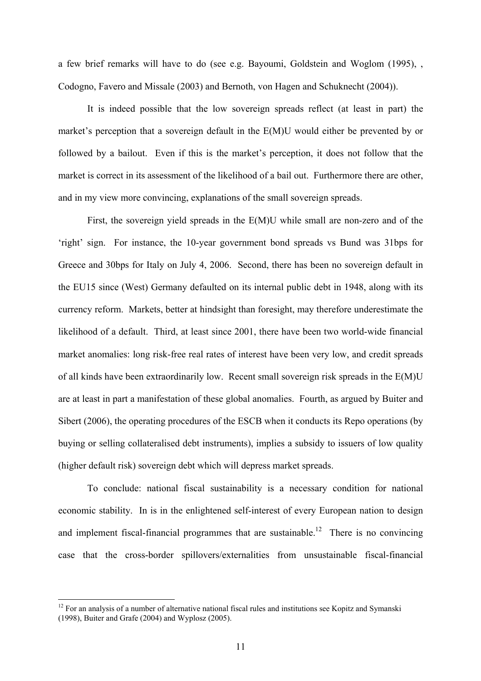a few brief remarks will have to do (see e.g. Bayoumi, Goldstein and Woglom (1995), , Codogno, Favero and Missale (2003) and Bernoth, von Hagen and Schuknecht (2004)).

It is indeed possible that the low sovereign spreads reflect (at least in part) the market's perception that a sovereign default in the E(M)U would either be prevented by or followed by a bailout. Even if this is the market's perception, it does not follow that the market is correct in its assessment of the likelihood of a bail out. Furthermore there are other, and in my view more convincing, explanations of the small sovereign spreads.

First, the sovereign yield spreads in the E(M)U while small are non-zero and of the 'right' sign. For instance, the 10-year government bond spreads vs Bund was 31bps for Greece and 30bps for Italy on July 4, 2006. Second, there has been no sovereign default in the EU15 since (West) Germany defaulted on its internal public debt in 1948, along with its currency reform. Markets, better at hindsight than foresight, may therefore underestimate the likelihood of a default. Third, at least since 2001, there have been two world-wide financial market anomalies: long risk-free real rates of interest have been very low, and credit spreads of all kinds have been extraordinarily low. Recent small sovereign risk spreads in the E(M)U are at least in part a manifestation of these global anomalies. Fourth, as argued by Buiter and Sibert (2006), the operating procedures of the ESCB when it conducts its Repo operations (by buying or selling collateralised debt instruments), implies a subsidy to issuers of low quality (higher default risk) sovereign debt which will depress market spreads.

To conclude: national fiscal sustainability is a necessary condition for national economic stability. In is in the enlightened self-interest of every European nation to design and implement fiscal-financial programmes that are sustainable.<sup>12</sup> There is no convincing case that the cross-border spillovers/externalities from unsustainable fiscal-financial

<sup>&</sup>lt;sup>12</sup> For an analysis of a number of alternative national fiscal rules and institutions see Kopitz and Symanski (1998), Buiter and Grafe (2004) and Wyplosz (2005).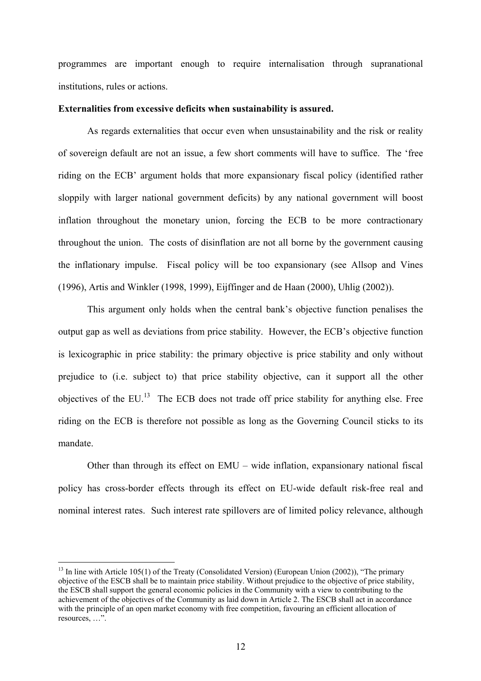programmes are important enough to require internalisation through supranational institutions, rules or actions.

#### **Externalities from excessive deficits when sustainability is assured.**

As regards externalities that occur even when unsustainability and the risk or reality of sovereign default are not an issue, a few short comments will have to suffice. The 'free riding on the ECB' argument holds that more expansionary fiscal policy (identified rather sloppily with larger national government deficits) by any national government will boost inflation throughout the monetary union, forcing the ECB to be more contractionary throughout the union. The costs of disinflation are not all borne by the government causing the inflationary impulse. Fiscal policy will be too expansionary (see Allsop and Vines (1996), Artis and Winkler (1998, 1999), Eijffinger and de Haan (2000), Uhlig (2002)).

This argument only holds when the central bank's objective function penalises the output gap as well as deviations from price stability. However, the ECB's objective function is lexicographic in price stability: the primary objective is price stability and only without prejudice to (i.e. subject to) that price stability objective, can it support all the other objectives of the EU.13 The ECB does not trade off price stability for anything else. Free riding on the ECB is therefore not possible as long as the Governing Council sticks to its mandate.

Other than through its effect on  $EMU -$  wide inflation, expansionary national fiscal policy has cross-border effects through its effect on EU-wide default risk-free real and nominal interest rates. Such interest rate spillovers are of limited policy relevance, although

 $13$  In line with Article 105(1) of the Treaty (Consolidated Version) (European Union (2002)), "The primary objective of the ESCB shall be to maintain price stability. Without prejudice to the objective of price stability, the ESCB shall support the general economic policies in the Community with a view to contributing to the achievement of the objectives of the Community as laid down in Article 2. The ESCB shall act in accordance with the principle of an open market economy with free competition, favouring an efficient allocation of resources, …".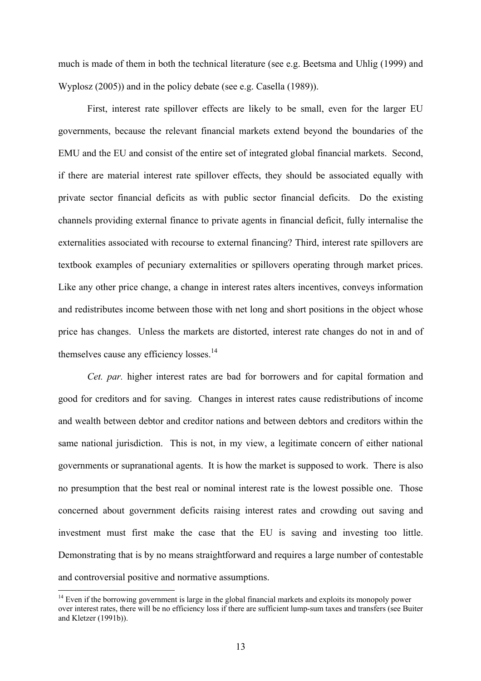much is made of them in both the technical literature (see e.g. Beetsma and Uhlig (1999) and Wyplosz (2005)) and in the policy debate (see e.g. Casella (1989)).

First, interest rate spillover effects are likely to be small, even for the larger EU governments, because the relevant financial markets extend beyond the boundaries of the EMU and the EU and consist of the entire set of integrated global financial markets. Second, if there are material interest rate spillover effects, they should be associated equally with private sector financial deficits as with public sector financial deficits. Do the existing channels providing external finance to private agents in financial deficit, fully internalise the externalities associated with recourse to external financing? Third, interest rate spillovers are textbook examples of pecuniary externalities or spillovers operating through market prices. Like any other price change, a change in interest rates alters incentives, conveys information and redistributes income between those with net long and short positions in the object whose price has changes. Unless the markets are distorted, interest rate changes do not in and of themselves cause any efficiency losses.<sup>14</sup>

*Cet. par.* higher interest rates are bad for borrowers and for capital formation and good for creditors and for saving. Changes in interest rates cause redistributions of income and wealth between debtor and creditor nations and between debtors and creditors within the same national jurisdiction. This is not, in my view, a legitimate concern of either national governments or supranational agents. It is how the market is supposed to work. There is also no presumption that the best real or nominal interest rate is the lowest possible one. Those concerned about government deficits raising interest rates and crowding out saving and investment must first make the case that the EU is saving and investing too little. Demonstrating that is by no means straightforward and requires a large number of contestable and controversial positive and normative assumptions.

<sup>&</sup>lt;sup>14</sup> Even if the borrowing government is large in the global financial markets and exploits its monopoly power over interest rates, there will be no efficiency loss if there are sufficient lump-sum taxes and transfers (see Buiter and Kletzer (1991b)).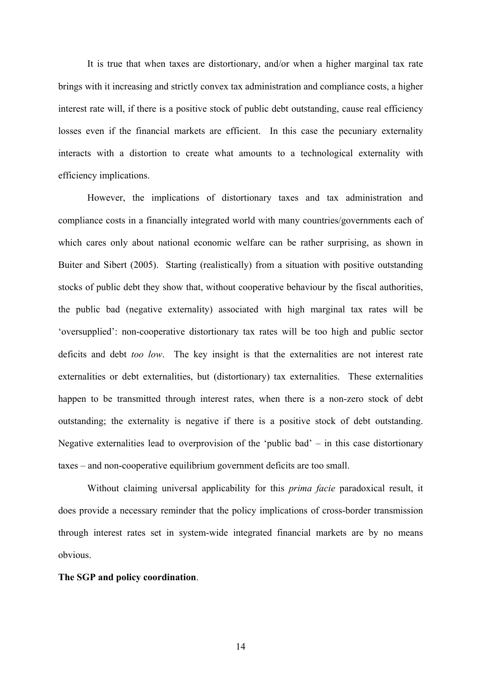It is true that when taxes are distortionary, and/or when a higher marginal tax rate brings with it increasing and strictly convex tax administration and compliance costs, a higher interest rate will, if there is a positive stock of public debt outstanding, cause real efficiency losses even if the financial markets are efficient. In this case the pecuniary externality interacts with a distortion to create what amounts to a technological externality with efficiency implications.

However, the implications of distortionary taxes and tax administration and compliance costs in a financially integrated world with many countries/governments each of which cares only about national economic welfare can be rather surprising, as shown in Buiter and Sibert (2005). Starting (realistically) from a situation with positive outstanding stocks of public debt they show that, without cooperative behaviour by the fiscal authorities, the public bad (negative externality) associated with high marginal tax rates will be 'oversupplied': non-cooperative distortionary tax rates will be too high and public sector deficits and debt *too low*. The key insight is that the externalities are not interest rate externalities or debt externalities, but (distortionary) tax externalities. These externalities happen to be transmitted through interest rates, when there is a non-zero stock of debt outstanding; the externality is negative if there is a positive stock of debt outstanding. Negative externalities lead to overprovision of the 'public bad' – in this case distortionary taxes – and non-cooperative equilibrium government deficits are too small.

Without claiming universal applicability for this *prima facie* paradoxical result, it does provide a necessary reminder that the policy implications of cross-border transmission through interest rates set in system-wide integrated financial markets are by no means obvious.

#### **The SGP and policy coordination**.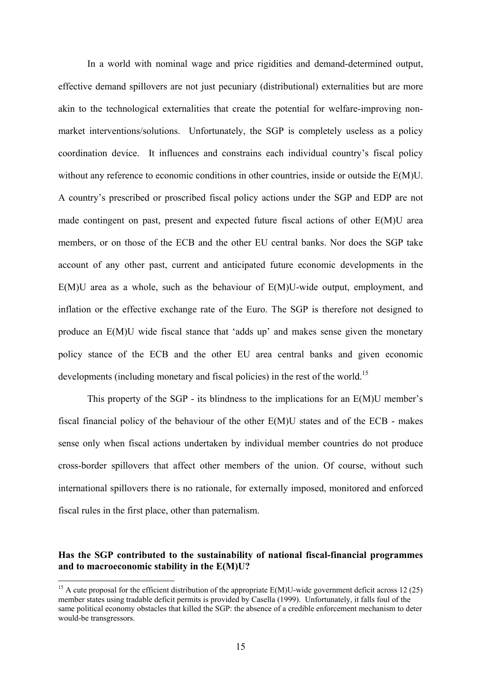In a world with nominal wage and price rigidities and demand-determined output, effective demand spillovers are not just pecuniary (distributional) externalities but are more akin to the technological externalities that create the potential for welfare-improving nonmarket interventions/solutions. Unfortunately, the SGP is completely useless as a policy coordination device. It influences and constrains each individual country's fiscal policy without any reference to economic conditions in other countries, inside or outside the  $E(M)U$ . A country's prescribed or proscribed fiscal policy actions under the SGP and EDP are not made contingent on past, present and expected future fiscal actions of other E(M)U area members, or on those of the ECB and the other EU central banks. Nor does the SGP take account of any other past, current and anticipated future economic developments in the E(M)U area as a whole, such as the behaviour of E(M)U-wide output, employment, and inflation or the effective exchange rate of the Euro. The SGP is therefore not designed to produce an E(M)U wide fiscal stance that 'adds up' and makes sense given the monetary policy stance of the ECB and the other EU area central banks and given economic developments (including monetary and fiscal policies) in the rest of the world.<sup>15</sup>

This property of the SGP - its blindness to the implications for an E(M)U member's fiscal financial policy of the behaviour of the other E(M)U states and of the ECB - makes sense only when fiscal actions undertaken by individual member countries do not produce cross-border spillovers that affect other members of the union. Of course, without such international spillovers there is no rationale, for externally imposed, monitored and enforced fiscal rules in the first place, other than paternalism.

### **Has the SGP contributed to the sustainability of national fiscal-financial programmes and to macroeconomic stability in the E(M)U?**

<sup>&</sup>lt;sup>15</sup> A cute proposal for the efficient distribution of the appropriate  $E(M)U$ -wide government deficit across 12 (25) member states using tradable deficit permits is provided by Casella (1999). Unfortunately, it falls foul of the same political economy obstacles that killed the SGP: the absence of a credible enforcement mechanism to deter would-be transgressors.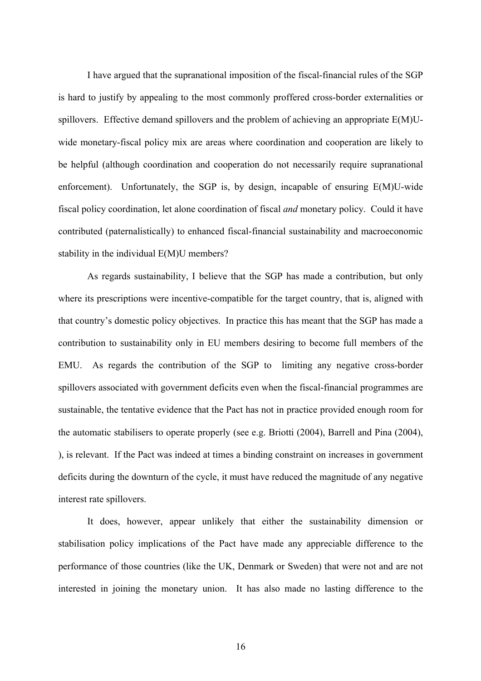I have argued that the supranational imposition of the fiscal-financial rules of the SGP is hard to justify by appealing to the most commonly proffered cross-border externalities or spillovers. Effective demand spillovers and the problem of achieving an appropriate E(M)Uwide monetary-fiscal policy mix are areas where coordination and cooperation are likely to be helpful (although coordination and cooperation do not necessarily require supranational enforcement). Unfortunately, the SGP is, by design, incapable of ensuring E(M)U-wide fiscal policy coordination, let alone coordination of fiscal *and* monetary policy. Could it have contributed (paternalistically) to enhanced fiscal-financial sustainability and macroeconomic stability in the individual E(M)U members?

 As regards sustainability, I believe that the SGP has made a contribution, but only where its prescriptions were incentive-compatible for the target country, that is, aligned with that country's domestic policy objectives. In practice this has meant that the SGP has made a contribution to sustainability only in EU members desiring to become full members of the EMU. As regards the contribution of the SGP to limiting any negative cross-border spillovers associated with government deficits even when the fiscal-financial programmes are sustainable, the tentative evidence that the Pact has not in practice provided enough room for the automatic stabilisers to operate properly (see e.g. Briotti (2004), Barrell and Pina (2004), ), is relevant. If the Pact was indeed at times a binding constraint on increases in government deficits during the downturn of the cycle, it must have reduced the magnitude of any negative interest rate spillovers.

It does, however, appear unlikely that either the sustainability dimension or stabilisation policy implications of the Pact have made any appreciable difference to the performance of those countries (like the UK, Denmark or Sweden) that were not and are not interested in joining the monetary union. It has also made no lasting difference to the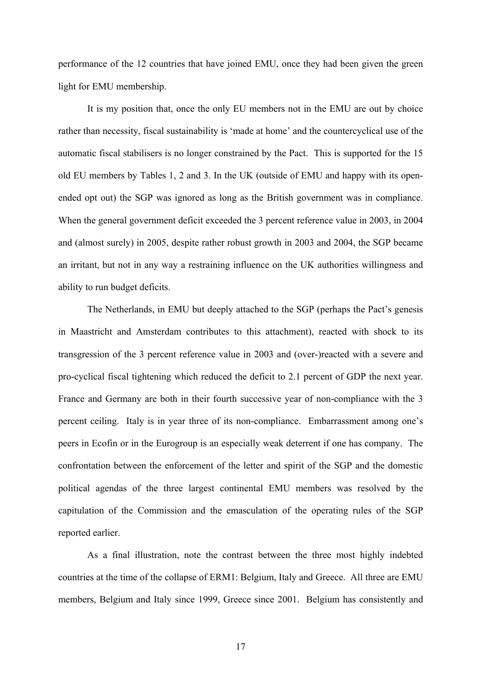performance of the 12 countries that have joined EMU, once they had been given the green light for EMU membership.

 It is my position that, once the only EU members not in the EMU are out by choice rather than necessity, fiscal sustainability is 'made at home' and the countercyclical use of the automatic fiscal stabilisers is no longer constrained by the Pact. This is supported for the 15 old EU members by Tables 1, 2 and 3. In the UK (outside of EMU and happy with its openended opt out) the SGP was ignored as long as the British government was in compliance. When the general government deficit exceeded the 3 percent reference value in 2003, in 2004 and (almost surely) in 2005, despite rather robust growth in 2003 and 2004, the SGP became an irritant, but not in any way a restraining influence on the UK authorities willingness and ability to run budget deficits.

 The Netherlands, in EMU but deeply attached to the SGP (perhaps the Pact's genesis in Maastricht and Amsterdam contributes to this attachment), reacted with shock to its transgression of the 3 percent reference value in 2003 and (over-)reacted with a severe and pro-cyclical fiscal tightening which reduced the deficit to 2.1 percent of GDP the next year. France and Germany are both in their fourth successive year of non-compliance with the 3 percent ceiling. Italy is in year three of its non-compliance. Embarrassment among one's peers in Ecofin or in the Eurogroup is an especially weak deterrent if one has company. The confrontation between the enforcement of the letter and spirit of the SGP and the domestic political agendas of the three largest continental EMU members was resolved by the capitulation of the Commission and the emasculation of the operating rules of the SGP reported earlier.

 As a final illustration, note the contrast between the three most highly indebted countries at the time of the collapse of ERM1: Belgium, Italy and Greece. All three are EMU members, Belgium and Italy since 1999, Greece since 2001. Belgium has consistently and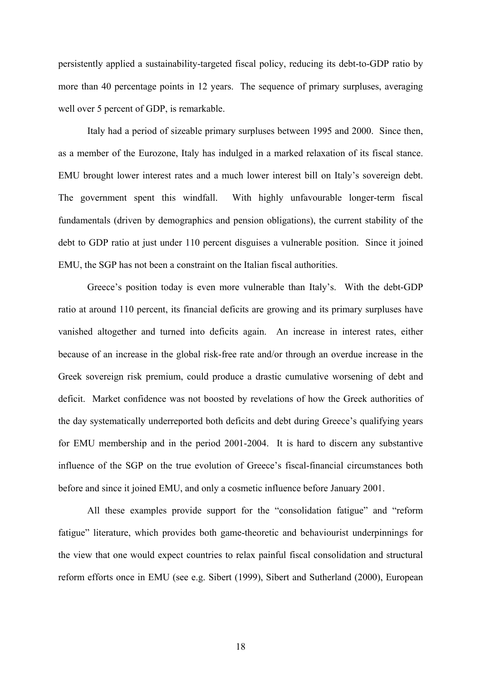persistently applied a sustainability-targeted fiscal policy, reducing its debt-to-GDP ratio by more than 40 percentage points in 12 years. The sequence of primary surpluses, averaging well over 5 percent of GDP, is remarkable.

 Italy had a period of sizeable primary surpluses between 1995 and 2000. Since then, as a member of the Eurozone, Italy has indulged in a marked relaxation of its fiscal stance. EMU brought lower interest rates and a much lower interest bill on Italy's sovereign debt. The government spent this windfall. With highly unfavourable longer-term fiscal fundamentals (driven by demographics and pension obligations), the current stability of the debt to GDP ratio at just under 110 percent disguises a vulnerable position. Since it joined EMU, the SGP has not been a constraint on the Italian fiscal authorities.

 Greece's position today is even more vulnerable than Italy's. With the debt-GDP ratio at around 110 percent, its financial deficits are growing and its primary surpluses have vanished altogether and turned into deficits again. An increase in interest rates, either because of an increase in the global risk-free rate and/or through an overdue increase in the Greek sovereign risk premium, could produce a drastic cumulative worsening of debt and deficit. Market confidence was not boosted by revelations of how the Greek authorities of the day systematically underreported both deficits and debt during Greece's qualifying years for EMU membership and in the period 2001-2004. It is hard to discern any substantive influence of the SGP on the true evolution of Greece's fiscal-financial circumstances both before and since it joined EMU, and only a cosmetic influence before January 2001.

 All these examples provide support for the "consolidation fatigue" and "reform fatigue" literature, which provides both game-theoretic and behaviourist underpinnings for the view that one would expect countries to relax painful fiscal consolidation and structural reform efforts once in EMU (see e.g. Sibert (1999), Sibert and Sutherland (2000), European

18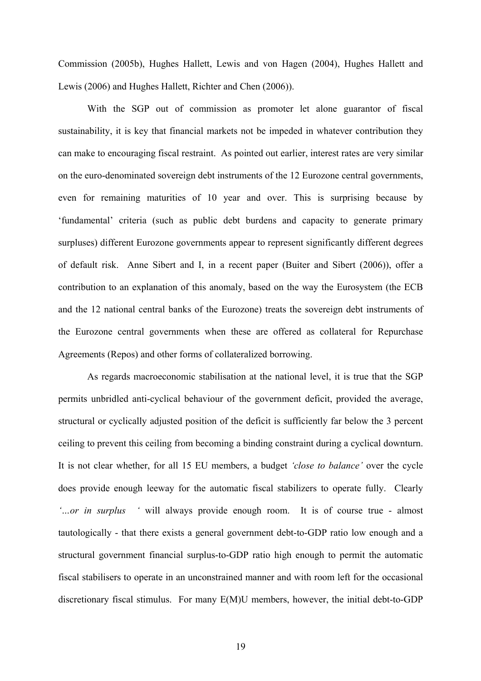Commission (2005b), Hughes Hallett, Lewis and von Hagen (2004), Hughes Hallett and Lewis (2006) and Hughes Hallett, Richter and Chen (2006)).

With the SGP out of commission as promoter let alone guarantor of fiscal sustainability, it is key that financial markets not be impeded in whatever contribution they can make to encouraging fiscal restraint. As pointed out earlier, interest rates are very similar on the euro-denominated sovereign debt instruments of the 12 Eurozone central governments, even for remaining maturities of 10 year and over. This is surprising because by 'fundamental' criteria (such as public debt burdens and capacity to generate primary surpluses) different Eurozone governments appear to represent significantly different degrees of default risk. Anne Sibert and I, in a recent paper (Buiter and Sibert (2006)), offer a contribution to an explanation of this anomaly, based on the way the Eurosystem (the ECB and the 12 national central banks of the Eurozone) treats the sovereign debt instruments of the Eurozone central governments when these are offered as collateral for Repurchase Agreements (Repos) and other forms of collateralized borrowing.

As regards macroeconomic stabilisation at the national level, it is true that the SGP permits unbridled anti-cyclical behaviour of the government deficit, provided the average, structural or cyclically adjusted position of the deficit is sufficiently far below the 3 percent ceiling to prevent this ceiling from becoming a binding constraint during a cyclical downturn. It is not clear whether, for all 15 EU members, a budget *'close to balance'* over the cycle does provide enough leeway for the automatic fiscal stabilizers to operate fully. Clearly *'…or in surplus '* will always provide enough room. It is of course true - almost tautologically - that there exists a general government debt-to-GDP ratio low enough and a structural government financial surplus-to-GDP ratio high enough to permit the automatic fiscal stabilisers to operate in an unconstrained manner and with room left for the occasional discretionary fiscal stimulus. For many E(M)U members, however, the initial debt-to-GDP

19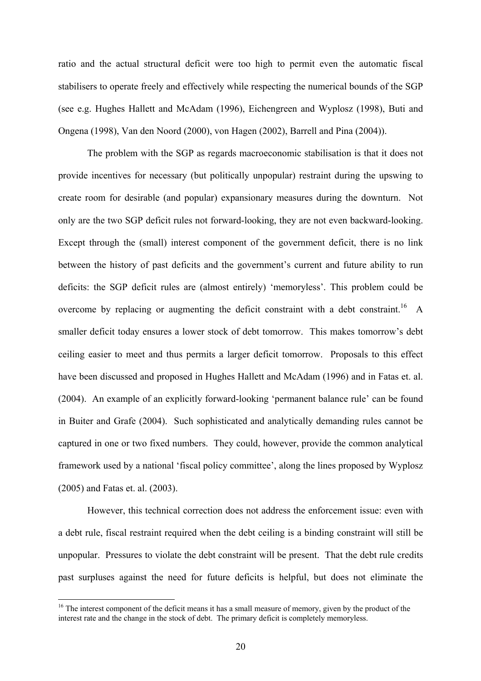ratio and the actual structural deficit were too high to permit even the automatic fiscal stabilisers to operate freely and effectively while respecting the numerical bounds of the SGP (see e.g. Hughes Hallett and McAdam (1996), Eichengreen and Wyplosz (1998), Buti and Ongena (1998), Van den Noord (2000), von Hagen (2002), Barrell and Pina (2004)).

The problem with the SGP as regards macroeconomic stabilisation is that it does not provide incentives for necessary (but politically unpopular) restraint during the upswing to create room for desirable (and popular) expansionary measures during the downturn. Not only are the two SGP deficit rules not forward-looking, they are not even backward-looking. Except through the (small) interest component of the government deficit, there is no link between the history of past deficits and the government's current and future ability to run deficits: the SGP deficit rules are (almost entirely) 'memoryless'. This problem could be overcome by replacing or augmenting the deficit constraint with a debt constraint.<sup>16</sup> A smaller deficit today ensures a lower stock of debt tomorrow. This makes tomorrow's debt ceiling easier to meet and thus permits a larger deficit tomorrow. Proposals to this effect have been discussed and proposed in Hughes Hallett and McAdam (1996) and in Fatas et. al. (2004). An example of an explicitly forward-looking 'permanent balance rule' can be found in Buiter and Grafe (2004). Such sophisticated and analytically demanding rules cannot be captured in one or two fixed numbers. They could, however, provide the common analytical framework used by a national 'fiscal policy committee', along the lines proposed by Wyplosz (2005) and Fatas et. al. (2003).

However, this technical correction does not address the enforcement issue: even with a debt rule, fiscal restraint required when the debt ceiling is a binding constraint will still be unpopular. Pressures to violate the debt constraint will be present. That the debt rule credits past surpluses against the need for future deficits is helpful, but does not eliminate the

 $16$  The interest component of the deficit means it has a small measure of memory, given by the product of the interest rate and the change in the stock of debt. The primary deficit is completely memoryless.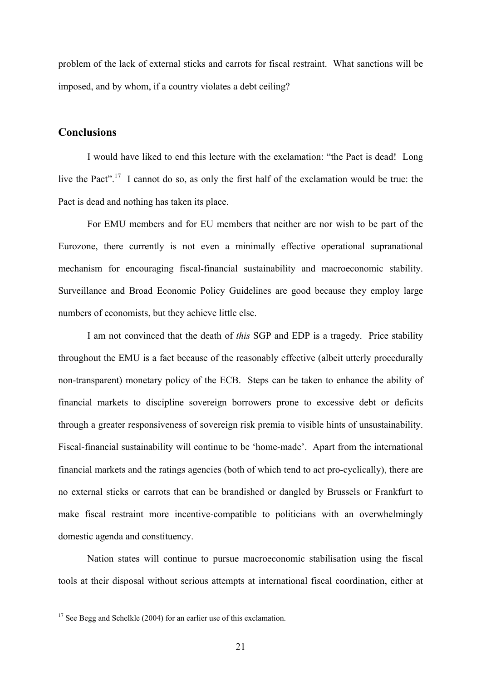problem of the lack of external sticks and carrots for fiscal restraint. What sanctions will be imposed, and by whom, if a country violates a debt ceiling?

### **Conclusions**

 I would have liked to end this lecture with the exclamation: "the Pact is dead! Long live the Pact".<sup>17</sup> I cannot do so, as only the first half of the exclamation would be true: the Pact is dead and nothing has taken its place.

 For EMU members and for EU members that neither are nor wish to be part of the Eurozone, there currently is not even a minimally effective operational supranational mechanism for encouraging fiscal-financial sustainability and macroeconomic stability. Surveillance and Broad Economic Policy Guidelines are good because they employ large numbers of economists, but they achieve little else.

 I am not convinced that the death of *this* SGP and EDP is a tragedy. Price stability throughout the EMU is a fact because of the reasonably effective (albeit utterly procedurally non-transparent) monetary policy of the ECB. Steps can be taken to enhance the ability of financial markets to discipline sovereign borrowers prone to excessive debt or deficits through a greater responsiveness of sovereign risk premia to visible hints of unsustainability. Fiscal-financial sustainability will continue to be 'home-made'. Apart from the international financial markets and the ratings agencies (both of which tend to act pro-cyclically), there are no external sticks or carrots that can be brandished or dangled by Brussels or Frankfurt to make fiscal restraint more incentive-compatible to politicians with an overwhelmingly domestic agenda and constituency.

 Nation states will continue to pursue macroeconomic stabilisation using the fiscal tools at their disposal without serious attempts at international fiscal coordination, either at

 $17$  See Begg and Schelkle (2004) for an earlier use of this exclamation.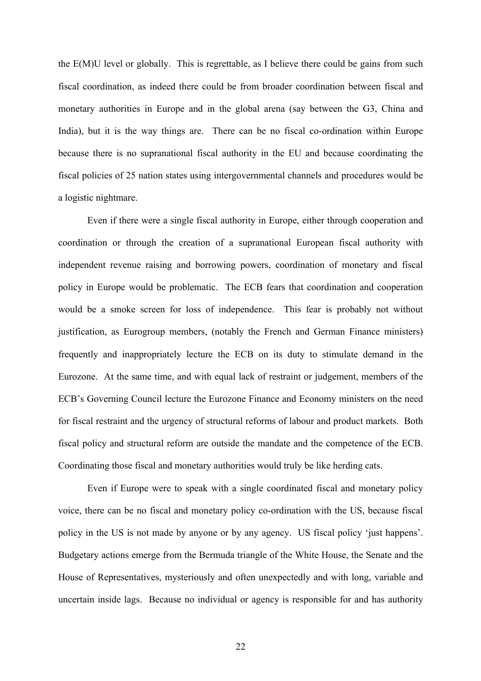the E(M)U level or globally. This is regrettable, as I believe there could be gains from such fiscal coordination, as indeed there could be from broader coordination between fiscal and monetary authorities in Europe and in the global arena (say between the G3, China and India), but it is the way things are. There can be no fiscal co-ordination within Europe because there is no supranational fiscal authority in the EU and because coordinating the fiscal policies of 25 nation states using intergovernmental channels and procedures would be a logistic nightmare.

Even if there were a single fiscal authority in Europe, either through cooperation and coordination or through the creation of a supranational European fiscal authority with independent revenue raising and borrowing powers, coordination of monetary and fiscal policy in Europe would be problematic. The ECB fears that coordination and cooperation would be a smoke screen for loss of independence. This fear is probably not without justification, as Eurogroup members, (notably the French and German Finance ministers) frequently and inappropriately lecture the ECB on its duty to stimulate demand in the Eurozone. At the same time, and with equal lack of restraint or judgement, members of the ECB's Governing Council lecture the Eurozone Finance and Economy ministers on the need for fiscal restraint and the urgency of structural reforms of labour and product markets. Both fiscal policy and structural reform are outside the mandate and the competence of the ECB. Coordinating those fiscal and monetary authorities would truly be like herding cats.

Even if Europe were to speak with a single coordinated fiscal and monetary policy voice, there can be no fiscal and monetary policy co-ordination with the US, because fiscal policy in the US is not made by anyone or by any agency. US fiscal policy 'just happens'. Budgetary actions emerge from the Bermuda triangle of the White House, the Senate and the House of Representatives, mysteriously and often unexpectedly and with long, variable and uncertain inside lags. Because no individual or agency is responsible for and has authority

22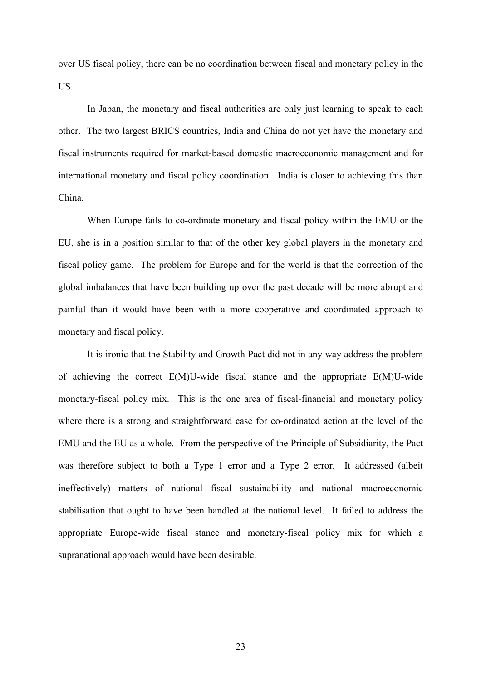over US fiscal policy, there can be no coordination between fiscal and monetary policy in the US.

In Japan, the monetary and fiscal authorities are only just learning to speak to each other. The two largest BRICS countries, India and China do not yet have the monetary and fiscal instruments required for market-based domestic macroeconomic management and for international monetary and fiscal policy coordination. India is closer to achieving this than China.

 When Europe fails to co-ordinate monetary and fiscal policy within the EMU or the EU, she is in a position similar to that of the other key global players in the monetary and fiscal policy game. The problem for Europe and for the world is that the correction of the global imbalances that have been building up over the past decade will be more abrupt and painful than it would have been with a more cooperative and coordinated approach to monetary and fiscal policy.

It is ironic that the Stability and Growth Pact did not in any way address the problem of achieving the correct E(M)U-wide fiscal stance and the appropriate E(M)U-wide monetary-fiscal policy mix. This is the one area of fiscal-financial and monetary policy where there is a strong and straightforward case for co-ordinated action at the level of the EMU and the EU as a whole. From the perspective of the Principle of Subsidiarity, the Pact was therefore subject to both a Type 1 error and a Type 2 error. It addressed (albeit ineffectively) matters of national fiscal sustainability and national macroeconomic stabilisation that ought to have been handled at the national level. It failed to address the appropriate Europe-wide fiscal stance and monetary-fiscal policy mix for which a supranational approach would have been desirable.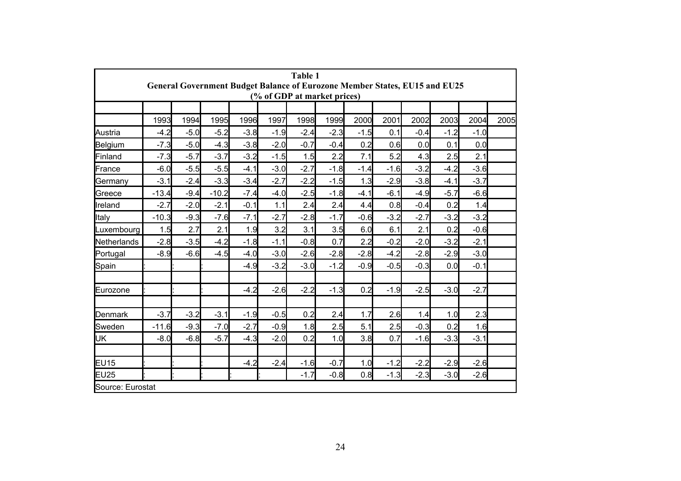| Table 1<br><b>General Government Budget Balance of Eurozone Member States, EU15 and EU25</b> |         |        |         |        |        |        |        |        |        |        |        |        |      |
|----------------------------------------------------------------------------------------------|---------|--------|---------|--------|--------|--------|--------|--------|--------|--------|--------|--------|------|
| (% of GDP at market prices)                                                                  |         |        |         |        |        |        |        |        |        |        |        |        |      |
|                                                                                              | 1993    | 1994   | 1995    | 1996   | 1997   | 1998   | 1999   | 2000   | 2001   | 2002   | 2003   | 2004   | 2005 |
| Austria                                                                                      | $-4.2$  | $-5.0$ | $-5.2$  | $-3.8$ | $-1.9$ | $-2.4$ | $-2.3$ | $-1.5$ | 0.1    | $-0.4$ | $-1.2$ | $-1.0$ |      |
| Belgium                                                                                      | $-7.3$  | $-5.0$ | $-4.3$  | $-3.8$ | $-2.0$ | $-0.7$ | $-0.4$ | 0.2    | 0.6    | 0.0    | 0.1    | 0.0    |      |
| Finland                                                                                      | $-7.3$  | $-5.7$ | $-3.7$  | $-3.2$ | $-1.5$ | 1.5    | 2.2    | 7.1    | 5.2    | 4.3    | 2.5    | 2.1    |      |
| France                                                                                       | $-6.0$  | $-5.5$ | $-5.5$  | $-4.1$ | $-3.0$ | $-2.7$ | $-1.8$ | $-1.4$ | $-1.6$ | $-3.2$ | $-4.2$ | $-3.6$ |      |
| Germany                                                                                      | $-3.1$  | $-2.4$ | $-3.3$  | $-3.4$ | $-2.7$ | $-2.2$ | $-1.5$ | 1.3    | $-2.9$ | $-3.8$ | -4.1   | $-3.7$ |      |
| Greece                                                                                       | $-13.4$ | $-9.4$ | $-10.2$ | $-7.4$ | $-4.0$ | $-2.5$ | $-1.8$ | $-4.1$ | $-6.1$ | $-4.9$ | $-5.7$ | $-6.6$ |      |
| Ireland                                                                                      | $-2.7$  | $-2.0$ | $-2.1$  | $-0.1$ | 1.1    | 2.4    | 2.4    | 4.4    | 0.8    | $-0.4$ | 0.2    | 1.4    |      |
| Italy                                                                                        | $-10.3$ | $-9.3$ | $-7.6$  | $-7.1$ | $-2.7$ | $-2.8$ | $-1.7$ | $-0.6$ | $-3.2$ | $-2.7$ | $-3.2$ | $-3.2$ |      |
| Luxembourg                                                                                   | 1.5     | 2.7    | 2.1     | 1.9    | 3.2    | 3.1    | 3.5    | 6.0    | 6.1    | 2.1    | 0.2    | $-0.6$ |      |
| <b>Netherlands</b>                                                                           | $-2.8$  | $-3.5$ | $-4.2$  | $-1.8$ | $-1.1$ | $-0.8$ | 0.7    | 2.2    | $-0.2$ | $-2.0$ | $-3.2$ | $-2.1$ |      |
| Portugal                                                                                     | $-8.9$  | $-6.6$ | $-4.5$  | $-4.0$ | $-3.0$ | $-2.6$ | $-2.8$ | $-2.8$ | $-4.2$ | $-2.8$ | $-2.9$ | $-3.0$ |      |
| Spain                                                                                        |         |        |         | $-4.9$ | $-3.2$ | $-3.0$ | $-1.2$ | $-0.9$ | $-0.5$ | $-0.3$ | 0.0    | $-0.1$ |      |
| Eurozone                                                                                     |         |        |         | $-4.2$ | $-2.6$ | $-2.2$ | $-1.3$ | 0.2    | $-1.9$ | $-2.5$ | $-3.0$ | $-2.7$ |      |
| <b>Denmark</b>                                                                               | $-3.7$  | $-3.2$ | $-3.1$  | $-1.9$ | $-0.5$ | 0.2    | 2.4    | 1.7    | 2.6    | 1.4    | 1.0    | 2.3    |      |
| Sweden                                                                                       | $-11.6$ | $-9.3$ | $-7.0$  | $-2.7$ | $-0.9$ | 1.8    | 2.5    | 5.1    | 2.5    | $-0.3$ | 0.2    | 1.6    |      |
| UK                                                                                           | $-8.0$  | $-6.8$ | $-5.7$  | $-4.3$ | $-2.0$ | 0.2    | 1.0    | 3.8    | 0.7    | $-1.6$ | $-3.3$ | $-3.1$ |      |
| <b>EU15</b>                                                                                  |         |        |         | $-4.2$ | $-2.4$ | $-1.6$ | $-0.7$ | 1.0    | $-1.2$ | $-2.2$ | $-2.9$ | $-2.6$ |      |
| <b>IEU25</b>                                                                                 |         |        |         |        |        | $-1.7$ | $-0.8$ | 0.8    | $-1.3$ | $-2.3$ | $-3.0$ | $-2.6$ |      |
| Source: Eurostat                                                                             |         |        |         |        |        |        |        |        |        |        |        |        |      |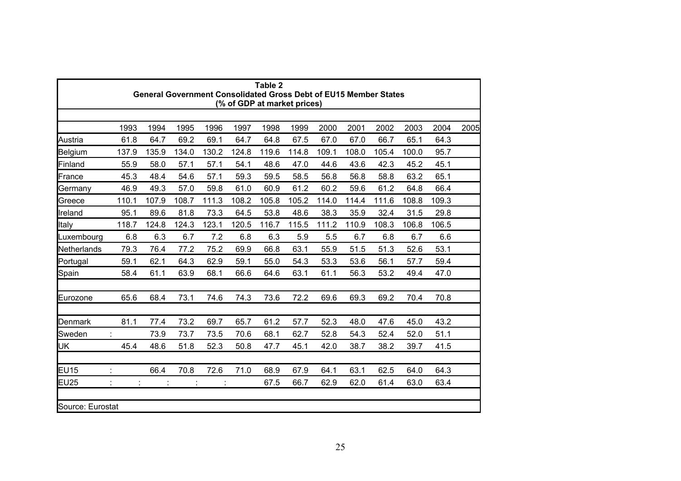| Table 2<br><b>General Government Consolidated Gross Debt of EU15 Member States</b> |                |       |       |       |       |       |       |       |       |       |       |       |      |
|------------------------------------------------------------------------------------|----------------|-------|-------|-------|-------|-------|-------|-------|-------|-------|-------|-------|------|
| (% of GDP at market prices)                                                        |                |       |       |       |       |       |       |       |       |       |       |       |      |
|                                                                                    | 1993           | 1994  | 1995  | 1996  | 1997  | 1998  | 1999  | 2000  | 2001  | 2002  | 2003  | 2004  | 2005 |
| Austria                                                                            | 61.8           | 64.7  | 69.2  | 69.1  | 64.7  | 64.8  | 67.5  | 67.0  | 67.0  | 66.7  | 65.1  | 64.3  |      |
| Belgium                                                                            | 137.9          | 135.9 | 134.0 | 130.2 | 124.8 | 119.6 | 114.8 | 109.1 | 108.0 | 105.4 | 100.0 | 95.7  |      |
| Finland                                                                            | 55.9           | 58.0  | 57.1  | 57.1  | 54.1  | 48.6  | 47.0  | 44.6  | 43.6  | 42.3  | 45.2  | 45.1  |      |
| France                                                                             | 45.3           | 48.4  | 54.6  | 57.1  | 59.3  | 59.5  | 58.5  | 56.8  | 56.8  | 58.8  | 63.2  | 65.1  |      |
| Germany                                                                            | 46.9           | 49.3  | 57.0  | 59.8  | 61.0  | 60.9  | 61.2  | 60.2  | 59.6  | 61.2  | 64.8  | 66.4  |      |
| Greece                                                                             | 110.1          | 107.9 | 108.7 | 111.3 | 108.2 | 105.8 | 105.2 | 114.0 | 114.4 | 111.6 | 108.8 | 109.3 |      |
| Ireland                                                                            | 95.1           | 89.6  | 81.8  | 73.3  | 64.5  | 53.8  | 48.6  | 38.3  | 35.9  | 32.4  | 31.5  | 29.8  |      |
| Italy                                                                              | 118.7          | 124.8 | 124.3 | 123.1 | 120.5 | 116.7 | 115.5 | 111.2 | 110.9 | 108.3 | 106.8 | 106.5 |      |
| Luxembourg                                                                         | 6.8            | 6.3   | 6.7   | 7.2   | 6.8   | 6.3   | 5.9   | 5.5   | 6.7   | 6.8   | 6.7   | 6.6   |      |
| Netherlands                                                                        | 79.3           | 76.4  | 77.2  | 75.2  | 69.9  | 66.8  | 63.1  | 55.9  | 51.5  | 51.3  | 52.6  | 53.1  |      |
| Portugal                                                                           | 59.1           | 62.1  | 64.3  | 62.9  | 59.1  | 55.0  | 54.3  | 53.3  | 53.6  | 56.1  | 57.7  | 59.4  |      |
| Spain                                                                              | 58.4           | 61.1  | 63.9  | 68.1  | 66.6  | 64.6  | 63.1  | 61.1  | 56.3  | 53.2  | 49.4  | 47.0  |      |
| Eurozone                                                                           | 65.6           | 68.4  | 73.1  | 74.6  | 74.3  | 73.6  | 72.2  | 69.6  | 69.3  | 69.2  | 70.4  | 70.8  |      |
| <b>Denmark</b>                                                                     | 81.1           | 77.4  | 73.2  | 69.7  | 65.7  | 61.2  | 57.7  | 52.3  | 48.0  | 47.6  | 45.0  | 43.2  |      |
| Sweden                                                                             |                | 73.9  | 73.7  | 73.5  | 70.6  | 68.1  | 62.7  | 52.8  | 54.3  | 52.4  | 52.0  | 51.1  |      |
| UK                                                                                 | 45.4           | 48.6  | 51.8  | 52.3  | 50.8  | 47.7  | 45.1  | 42.0  | 38.7  | 38.2  | 39.7  | 41.5  |      |
| <b>EU15</b>                                                                        |                | 66.4  | 70.8  | 72.6  | 71.0  | 68.9  | 67.9  | 64.1  | 63.1  | 62.5  | 64.0  | 64.3  |      |
| EU <sub>25</sub>                                                                   | $\ddot{\cdot}$ | ÷     | ÷     |       |       | 67.5  | 66.7  | 62.9  | 62.0  | 61.4  | 63.0  | 63.4  |      |
| Source: Eurostat                                                                   |                |       |       |       |       |       |       |       |       |       |       |       |      |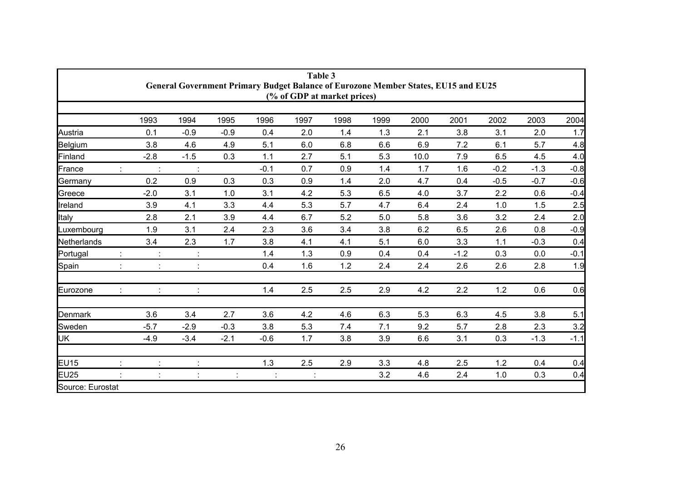|                  | Table 3<br>General Government Primary Budget Balance of Eurozone Member States, EU15 and EU25 |        |        |        |        |      |      |      |      |        |        |        |        |  |
|------------------|-----------------------------------------------------------------------------------------------|--------|--------|--------|--------|------|------|------|------|--------|--------|--------|--------|--|
|                  | (% of GDP at market prices)                                                                   |        |        |        |        |      |      |      |      |        |        |        |        |  |
|                  |                                                                                               | 1993   | 1994   | 1995   | 1996   | 1997 | 1998 | 1999 | 2000 | 2001   | 2002   | 2003   | 2004   |  |
| Austria          |                                                                                               | 0.1    | $-0.9$ | $-0.9$ | 0.4    | 2.0  | 1.4  | 1.3  | 2.1  | 3.8    | 3.1    | 2.0    | 1.7    |  |
| Belgium          |                                                                                               | 3.8    | 4.6    | 4.9    | 5.1    | 6.0  | 6.8  | 6.6  | 6.9  | 7.2    | 6.1    | 5.7    | 4.8    |  |
| Finland          |                                                                                               | $-2.8$ | $-1.5$ | 0.3    | 1.1    | 2.7  | 5.1  | 5.3  | 10.0 | 7.9    | 6.5    | 4.5    | 4.0    |  |
| France           |                                                                                               |        |        |        | $-0.1$ | 0.7  | 0.9  | 1.4  | 1.7  | 1.6    | $-0.2$ | $-1.3$ | $-0.8$ |  |
| Germany          |                                                                                               | 0.2    | 0.9    | 0.3    | 0.3    | 0.9  | 1.4  | 2.0  | 4.7  | 0.4    | $-0.5$ | $-0.7$ | $-0.6$ |  |
| Greece           |                                                                                               | $-2.0$ | 3.1    | 1.0    | 3.1    | 4.2  | 5.3  | 6.5  | 4.0  | 3.7    | 2.2    | 0.6    | $-0.4$ |  |
| Ireland          |                                                                                               | 3.9    | 4.1    | 3.3    | 4.4    | 5.3  | 5.7  | 4.7  | 6.4  | 2.4    | 1.0    | 1.5    | 2.5    |  |
| Italy            |                                                                                               | 2.8    | 2.1    | 3.9    | 4.4    | 6.7  | 5.2  | 5.0  | 5.8  | 3.6    | 3.2    | 2.4    | 2.0    |  |
| uxembourg        |                                                                                               | 1.9    | 3.1    | 2.4    | 2.3    | 3.6  | 3.4  | 3.8  | 6.2  | 6.5    | 2.6    | 0.8    | $-0.9$ |  |
| Netherlands      |                                                                                               | 3.4    | 2.3    | 1.7    | 3.8    | 4.1  | 4.1  | 5.1  | 6.0  | 3.3    | 1.1    | $-0.3$ | 0.4    |  |
| Portugal         |                                                                                               |        |        |        | 1.4    | 1.3  | 0.9  | 0.4  | 0.4  | $-1.2$ | 0.3    | 0.0    | $-0.1$ |  |
| Spain            |                                                                                               |        |        |        | 0.4    | 1.6  | 1.2  | 2.4  | 2.4  | 2.6    | 2.6    | 2.8    | 1.9    |  |
| Eurozone         |                                                                                               | ÷      |        |        | 1.4    | 2.5  | 2.5  | 2.9  | 4.2  | 2.2    | 1.2    | 0.6    | 0.6    |  |
| <b>Denmark</b>   |                                                                                               | 3.6    | 3.4    | 2.7    | 3.6    | 4.2  | 4.6  | 6.3  | 5.3  | 6.3    | 4.5    | 3.8    | 5.1    |  |
| Sweden           |                                                                                               | $-5.7$ | $-2.9$ | $-0.3$ | 3.8    | 5.3  | 7.4  | 7.1  | 9.2  | 5.7    | 2.8    | 2.3    | 3.2    |  |
| UK               |                                                                                               | $-4.9$ | $-3.4$ | $-2.1$ | $-0.6$ | 1.7  | 3.8  | 3.9  | 6.6  | 3.1    | 0.3    | $-1.3$ | $-1.1$ |  |
| <b>EU15</b>      |                                                                                               |        |        |        | 1.3    | 2.5  | 2.9  | 3.3  | 4.8  | 2.5    | 1.2    | 0.4    | 0.4    |  |
| <b>EU25</b>      |                                                                                               |        |        |        |        |      |      | 3.2  | 4.6  | 2.4    | 1.0    | 0.3    | 0.4    |  |
| Source: Eurostat |                                                                                               |        |        |        |        |      |      |      |      |        |        |        |        |  |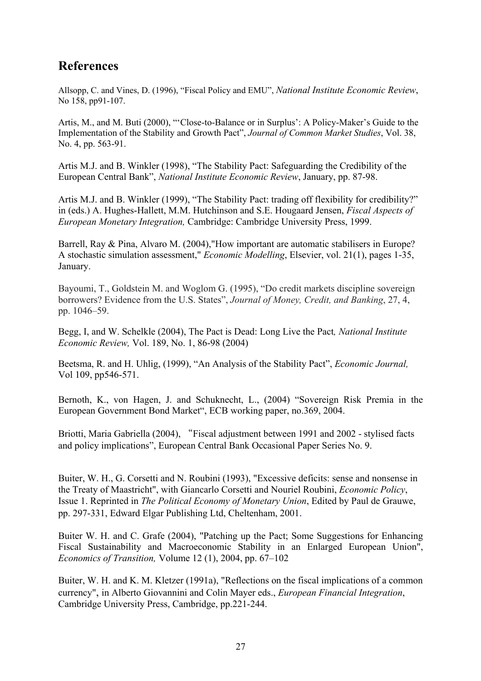# **References**

Allsopp, C. and Vines, D. (1996), "Fiscal Policy and EMU", *National Institute Economic Review*, No 158, pp91-107.

Artis, M., and M. Buti (2000), "'Close-to-Balance or in Surplus': A Policy-Maker's Guide to the Implementation of the Stability and Growth Pact", *Journal of Common Market Studies*, Vol. 38, No. 4, pp. 563-91.

Artis M.J. and B. Winkler (1998), "The Stability Pact: Safeguarding the Credibility of the European Central Bank", *National Institute Economic Review*, January, pp. 87-98.

Artis M.J. and B. Winkler (1999), "The Stability Pact: trading off flexibility for credibility?" in (eds.) A. Hughes-Hallett, M.M. Hutchinson and S.E. Hougaard Jensen, *Fiscal Aspects of European Monetary Integration,* Cambridge: Cambridge University Press, 1999.

Barrell, Ray & Pina, Alvaro M. (2004)."How important are automatic stabilisers in Europe? A stochastic simulation assessment," *Economic Modelling*, Elsevier, vol. 21(1), pages 1-35, January.

Bayoumi, T., Goldstein M. and Woglom G. (1995), "Do credit markets discipline sovereign borrowers? Evidence from the U.S. States", *Journal of Money, Credit, and Banking*, 27, 4, pp. 1046–59.

Begg, I, and W. Schelkle (2004), The Pact is Dead: Long Live the Pact*, National Institute Economic Review,* Vol. 189, No. 1, 86-98 (2004)

Beetsma, R. and H. Uhlig, (1999), "An Analysis of the Stability Pact", *Economic Journal,*  Vol 109, pp546-571.

Bernoth, K., von Hagen, J. and Schuknecht, L., (2004) "Sovereign Risk Premia in the European Government Bond Market", ECB working paper, no.369, 2004.

Briotti, Maria Gabriella (2004), "Fiscal adjustment between 1991 and 2002 - stylised facts and policy implications", European Central Bank Occasional Paper Series No. 9.

Buiter, W. H., G. Corsetti and N. Roubini (1993), "Excessive deficits: sense and nonsense in the Treaty of Maastricht", with Giancarlo Corsetti and Nouriel Roubini, *Economic Policy*, Issue 1. Reprinted in *The Political Economy of Monetary Union*, Edited by Paul de Grauwe, pp. 297-331, Edward Elgar Publishing Ltd, Cheltenham, 2001.

Buiter W. H. and C. Grafe (2004), "Patching up the Pact; Some Suggestions for Enhancing Fiscal Sustainability and Macroeconomic Stability in an Enlarged European Union", *Economics of Transition,* Volume 12 (1), 2004, pp. 67–102

Buiter, W. H. and K. M. Kletzer (1991a), "Reflections on the fiscal implications of a common currency", in Alberto Giovannini and Colin Mayer eds., *European Financial Integration*, Cambridge University Press, Cambridge, pp.221-244.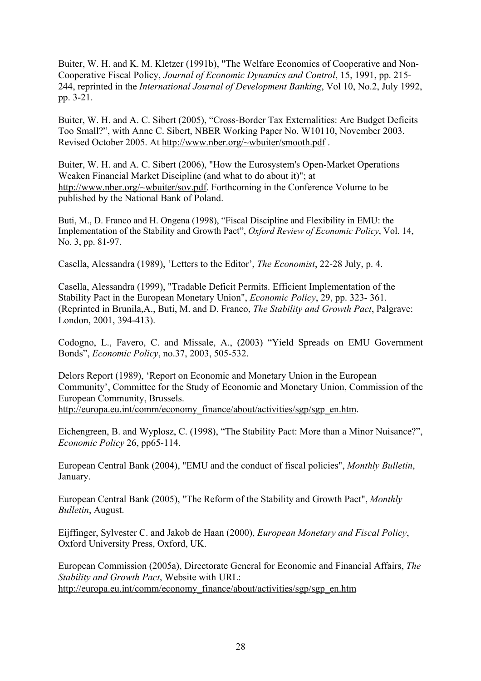Buiter, W. H. and K. M. Kletzer (1991b), "The Welfare Economics of Cooperative and Non-Cooperative Fiscal Policy, *Journal of Economic Dynamics and Control*, 15, 1991, pp. 215- 244, reprinted in the *International Journal of Development Banking*, Vol 10, No.2, July 1992, pp. 3-21.

Buiter, W. H. and A. C. Sibert (2005), "Cross-Border Tax Externalities: Are Budget Deficits Too Small?", with Anne C. Sibert, NBER Working Paper No. W10110, November 2003. Revised October 2005. At http://www.nber.org/~wbuiter/smooth.pdf .

Buiter, W. H. and A. C. Sibert (2006), "How the Eurosystem's Open-Market Operations Weaken Financial Market Discipline (and what to do about it)"; at http://www.nber.org/~wbuiter/sov.pdf. Forthcoming in the Conference Volume to be published by the National Bank of Poland.

Buti, M., D. Franco and H. Ongena (1998), "Fiscal Discipline and Flexibility in EMU: the Implementation of the Stability and Growth Pact", *Oxford Review of Economic Policy*, Vol. 14, No. 3, pp. 81-97.

Casella, Alessandra (1989), 'Letters to the Editor', *The Economist*, 22-28 July, p. 4.

Casella, Alessandra (1999), "Tradable Deficit Permits. Efficient Implementation of the Stability Pact in the European Monetary Union", *Economic Policy*, 29, pp. 323- 361. (Reprinted in Brunila,A., Buti, M. and D. Franco, *The Stability and Growth Pact*, Palgrave: London, 2001, 394-413).

Codogno, L., Favero, C. and Missale, A., (2003) "Yield Spreads on EMU Government Bonds", *Economic Policy*, no.37, 2003, 505-532.

Delors Report (1989), 'Report on Economic and Monetary Union in the European Community', Committee for the Study of Economic and Monetary Union, Commission of the European Community, Brussels. http://europa.eu.int/comm/economy\_finance/about/activities/sgp/sgp\_en.htm.

Eichengreen, B. and Wyplosz, C. (1998), "The Stability Pact: More than a Minor Nuisance?", *Economic Policy* 26, pp65-114.

European Central Bank (2004), "EMU and the conduct of fiscal policies", *Monthly Bulletin*, January.

European Central Bank (2005), "The Reform of the Stability and Growth Pact", *Monthly Bulletin*, August.

Eijffinger, Sylvester C. and Jakob de Haan (2000), *European Monetary and Fiscal Policy*, Oxford University Press, Oxford, UK.

European Commission (2005a), Directorate General for Economic and Financial Affairs, *The Stability and Growth Pact*, Website with URL: http://europa.eu.int/comm/economy\_finance/about/activities/sgp/sgp\_en.htm